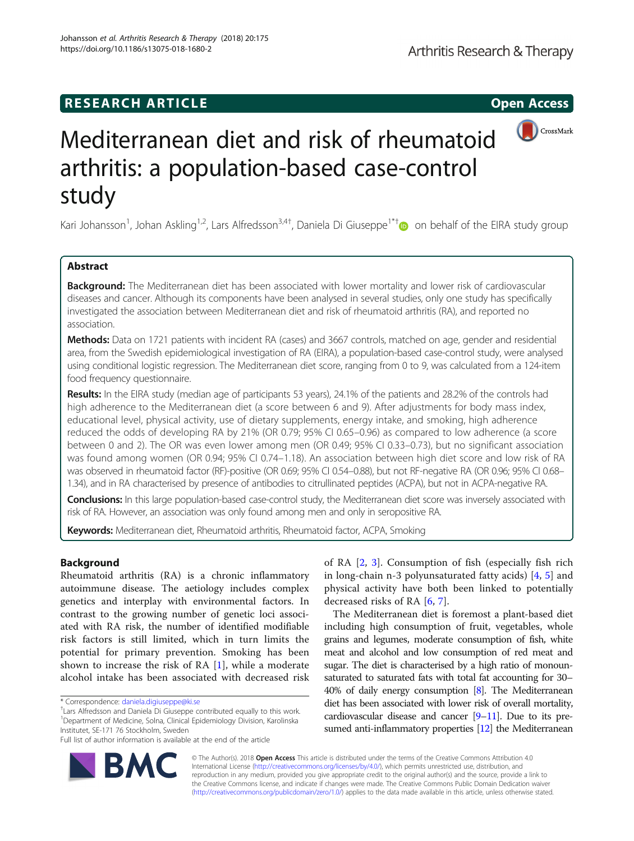# **RESEARCH ARTICLE Example 2014 CONSIDERING CONSIDERING CONSIDERING CONSIDERING CONSIDERING CONSIDERING CONSIDERING CONSIDERING CONSIDERING CONSIDERING CONSIDERING CONSIDERING CONSIDERING CONSIDERING CONSIDERING CONSIDE**



# Mediterranean diet and risk of rheumatoid arthritis: a population-based case-control study

Kari Johansson<sup>1</sup>, Johan Askling<sup>1,2</sup>, Lars Alfredsson<sup>3,4†</sup>, Daniela Di Giuseppe<sup>1\*†</sup> on behalf of the EIRA study group

# Abstract

**Background:** The Mediterranean diet has been associated with lower mortality and lower risk of cardiovascular diseases and cancer. Although its components have been analysed in several studies, only one study has specifically investigated the association between Mediterranean diet and risk of rheumatoid arthritis (RA), and reported no association.

Methods: Data on 1721 patients with incident RA (cases) and 3667 controls, matched on age, gender and residential area, from the Swedish epidemiological investigation of RA (EIRA), a population-based case-control study, were analysed using conditional logistic regression. The Mediterranean diet score, ranging from 0 to 9, was calculated from a 124-item food frequency questionnaire.

Results: In the EIRA study (median age of participants 53 years), 24.1% of the patients and 28.2% of the controls had high adherence to the Mediterranean diet (a score between 6 and 9). After adjustments for body mass index, educational level, physical activity, use of dietary supplements, energy intake, and smoking, high adherence reduced the odds of developing RA by 21% (OR 0.79; 95% CI 0.65–0.96) as compared to low adherence (a score between 0 and 2). The OR was even lower among men (OR 0.49; 95% CI 0.33–0.73), but no significant association was found among women (OR 0.94; 95% CI 0.74–1.18). An association between high diet score and low risk of RA was observed in rheumatoid factor (RF)-positive (OR 0.69; 95% CI 0.54–0.88), but not RF-negative RA (OR 0.96; 95% CI 0.68– 1.34), and in RA characterised by presence of antibodies to citrullinated peptides (ACPA), but not in ACPA-negative RA.

Conclusions: In this large population-based case-control study, the Mediterranean diet score was inversely associated with risk of RA. However, an association was only found among men and only in seropositive RA.

Keywords: Mediterranean diet, Rheumatoid arthritis, Rheumatoid factor, ACPA, Smoking

# Background

Rheumatoid arthritis (RA) is a chronic inflammatory autoimmune disease. The aetiology includes complex genetics and interplay with environmental factors. In contrast to the growing number of genetic loci associated with RA risk, the number of identified modifiable risk factors is still limited, which in turn limits the potential for primary prevention. Smoking has been shown to increase the risk of RA [[1\]](#page-7-0), while a moderate alcohol intake has been associated with decreased risk

<sup>+</sup>Lars Alfredsson and Daniela Di Giuseppe contributed equally to this work. <sup>1</sup>Department of Medicine, Solna, Clinical Epidemiology Division, Karolinska Institutet, SE-171 76 Stockholm, Sweden

of RA [[2,](#page-7-0) [3](#page-7-0)]. Consumption of fish (especially fish rich in long-chain n-3 polyunsaturated fatty acids) [[4,](#page-7-0) [5](#page-7-0)] and physical activity have both been linked to potentially decreased risks of RA [[6,](#page-7-0) [7\]](#page-7-0).

The Mediterranean diet is foremost a plant-based diet including high consumption of fruit, vegetables, whole grains and legumes, moderate consumption of fish, white meat and alcohol and low consumption of red meat and sugar. The diet is characterised by a high ratio of monounsaturated to saturated fats with total fat accounting for 30– 40% of daily energy consumption [[8](#page-7-0)]. The Mediterranean diet has been associated with lower risk of overall mortality, cardiovascular disease and cancer [\[9](#page-7-0)–[11\]](#page-7-0). Due to its pre-sumed anti-inflammatory properties [\[12](#page-7-0)] the Mediterranean



© The Author(s). 2018 Open Access This article is distributed under the terms of the Creative Commons Attribution 4.0 International License [\(http://creativecommons.org/licenses/by/4.0/](http://creativecommons.org/licenses/by/4.0/)), which permits unrestricted use, distribution, and reproduction in any medium, provided you give appropriate credit to the original author(s) and the source, provide a link to the Creative Commons license, and indicate if changes were made. The Creative Commons Public Domain Dedication waiver [\(http://creativecommons.org/publicdomain/zero/1.0/](http://creativecommons.org/publicdomain/zero/1.0/)) applies to the data made available in this article, unless otherwise stated.

<sup>\*</sup> Correspondence: [daniela.digiuseppe@ki.se](mailto:daniela.digiuseppe@ki.se) †

Full list of author information is available at the end of the article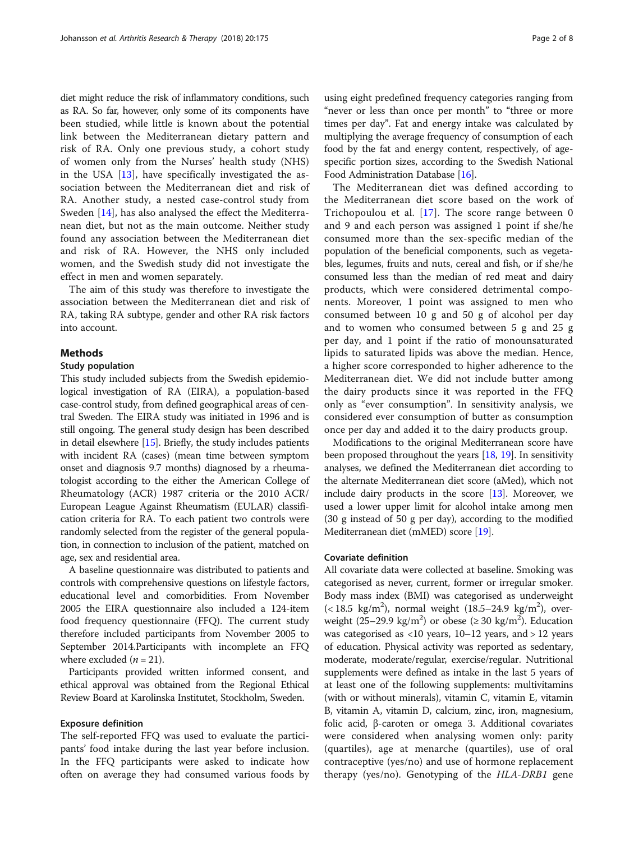diet might reduce the risk of inflammatory conditions, such as RA. So far, however, only some of its components have been studied, while little is known about the potential link between the Mediterranean dietary pattern and risk of RA. Only one previous study, a cohort study of women only from the Nurses' health study (NHS) in the USA  $[13]$  $[13]$ , have specifically investigated the association between the Mediterranean diet and risk of RA. Another study, a nested case-control study from Sweden [[14\]](#page-7-0), has also analysed the effect the Mediterranean diet, but not as the main outcome. Neither study found any association between the Mediterranean diet and risk of RA. However, the NHS only included women, and the Swedish study did not investigate the effect in men and women separately.

The aim of this study was therefore to investigate the association between the Mediterranean diet and risk of RA, taking RA subtype, gender and other RA risk factors into account.

# Methods

# Study population

This study included subjects from the Swedish epidemiological investigation of RA (EIRA), a population-based case-control study, from defined geographical areas of central Sweden. The EIRA study was initiated in 1996 and is still ongoing. The general study design has been described in detail elsewhere [\[15\]](#page-7-0). Briefly, the study includes patients with incident RA (cases) (mean time between symptom onset and diagnosis 9.7 months) diagnosed by a rheumatologist according to the either the American College of Rheumatology (ACR) 1987 criteria or the 2010 ACR/ European League Against Rheumatism (EULAR) classification criteria for RA. To each patient two controls were randomly selected from the register of the general population, in connection to inclusion of the patient, matched on age, sex and residential area.

A baseline questionnaire was distributed to patients and controls with comprehensive questions on lifestyle factors, educational level and comorbidities. From November 2005 the EIRA questionnaire also included a 124-item food frequency questionnaire (FFQ). The current study therefore included participants from November 2005 to September 2014.Participants with incomplete an FFQ where excluded  $(n = 21)$ .

Participants provided written informed consent, and ethical approval was obtained from the Regional Ethical Review Board at Karolinska Institutet, Stockholm, Sweden.

# Exposure definition

The self-reported FFQ was used to evaluate the participants' food intake during the last year before inclusion. In the FFQ participants were asked to indicate how often on average they had consumed various foods by using eight predefined frequency categories ranging from "never or less than once per month" to "three or more times per day". Fat and energy intake was calculated by multiplying the average frequency of consumption of each food by the fat and energy content, respectively, of agespecific portion sizes, according to the Swedish National Food Administration Database [\[16\]](#page-7-0).

The Mediterranean diet was defined according to the Mediterranean diet score based on the work of Trichopoulou et al. [[17\]](#page-7-0). The score range between 0 and 9 and each person was assigned 1 point if she/he consumed more than the sex-specific median of the population of the beneficial components, such as vegetables, legumes, fruits and nuts, cereal and fish, or if she/he consumed less than the median of red meat and dairy products, which were considered detrimental components. Moreover, 1 point was assigned to men who consumed between 10 g and 50 g of alcohol per day and to women who consumed between 5 g and 25 g per day, and 1 point if the ratio of monounsaturated lipids to saturated lipids was above the median. Hence, a higher score corresponded to higher adherence to the Mediterranean diet. We did not include butter among the dairy products since it was reported in the FFQ only as "ever consumption". In sensitivity analysis, we considered ever consumption of butter as consumption once per day and added it to the dairy products group.

Modifications to the original Mediterranean score have been proposed throughout the years [[18,](#page-7-0) [19\]](#page-7-0). In sensitivity analyses, we defined the Mediterranean diet according to the alternate Mediterranean diet score (aMed), which not include dairy products in the score [\[13](#page-7-0)]. Moreover, we used a lower upper limit for alcohol intake among men (30 g instead of 50 g per day), according to the modified Mediterranean diet (mMED) score [\[19\]](#page-7-0).

# Covariate definition

All covariate data were collected at baseline. Smoking was categorised as never, current, former or irregular smoker. Body mass index (BMI) was categorised as underweight  $(< 18.5 \text{ kg/m}^2)$ , normal weight  $(18.5-24.9 \text{ kg/m}^2)$ , overweight (25-29.9 kg/m<sup>2</sup>) or obese ( $\geq$  30 kg/m<sup>2</sup>). Education was categorised as <10 years, 10–12 years, and > 12 years of education. Physical activity was reported as sedentary, moderate, moderate/regular, exercise/regular. Nutritional supplements were defined as intake in the last 5 years of at least one of the following supplements: multivitamins (with or without minerals), vitamin C, vitamin E, vitamin B, vitamin A, vitamin D, calcium, zinc, iron, magnesium, folic acid, β-caroten or omega 3. Additional covariates were considered when analysing women only: parity (quartiles), age at menarche (quartiles), use of oral contraceptive (yes/no) and use of hormone replacement therapy (yes/no). Genotyping of the HLA-DRB1 gene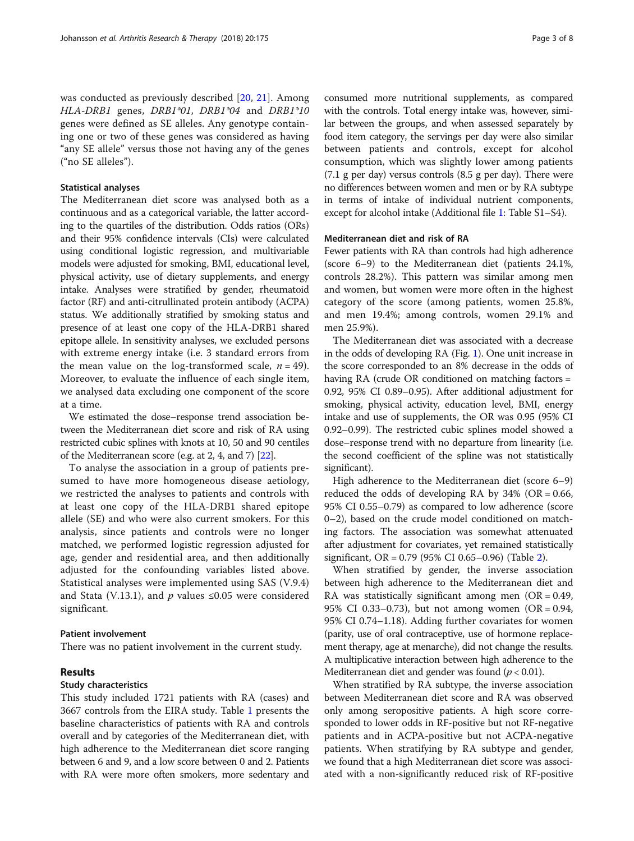was conducted as previously described [[20,](#page-7-0) [21](#page-7-0)]. Among HLA-DRB1 genes, DRB1\*01, DRB1\*04 and DRB1\*10 genes were defined as SE alleles. Any genotype containing one or two of these genes was considered as having "any SE allele" versus those not having any of the genes ("no SE alleles").

# Statistical analyses

The Mediterranean diet score was analysed both as a continuous and as a categorical variable, the latter according to the quartiles of the distribution. Odds ratios (ORs) and their 95% confidence intervals (CIs) were calculated using conditional logistic regression, and multivariable models were adjusted for smoking, BMI, educational level, physical activity, use of dietary supplements, and energy intake. Analyses were stratified by gender, rheumatoid factor (RF) and anti-citrullinated protein antibody (ACPA) status. We additionally stratified by smoking status and presence of at least one copy of the HLA-DRB1 shared epitope allele. In sensitivity analyses, we excluded persons with extreme energy intake (i.e. 3 standard errors from the mean value on the log-transformed scale,  $n = 49$ ). Moreover, to evaluate the influence of each single item, we analysed data excluding one component of the score at a time.

We estimated the dose–response trend association between the Mediterranean diet score and risk of RA using restricted cubic splines with knots at 10, 50 and 90 centiles of the Mediterranean score (e.g. at 2, 4, and 7) [[22](#page-7-0)].

To analyse the association in a group of patients presumed to have more homogeneous disease aetiology, we restricted the analyses to patients and controls with at least one copy of the HLA-DRB1 shared epitope allele (SE) and who were also current smokers. For this analysis, since patients and controls were no longer matched, we performed logistic regression adjusted for age, gender and residential area, and then additionally adjusted for the confounding variables listed above. Statistical analyses were implemented using SAS (V.9.4) and Stata (V.13.1), and  $p$  values ≤0.05 were considered significant.

### Patient involvement

There was no patient involvement in the current study.

# Results

# Study characteristics

This study included 1721 patients with RA (cases) and 3667 controls from the EIRA study. Table [1](#page-3-0) presents the baseline characteristics of patients with RA and controls overall and by categories of the Mediterranean diet, with high adherence to the Mediterranean diet score ranging between 6 and 9, and a low score between 0 and 2. Patients with RA were more often smokers, more sedentary and consumed more nutritional supplements, as compared with the controls. Total energy intake was, however, similar between the groups, and when assessed separately by food item category, the servings per day were also similar between patients and controls, except for alcohol consumption, which was slightly lower among patients (7.1 g per day) versus controls (8.5 g per day). There were no differences between women and men or by RA subtype in terms of intake of individual nutrient components, except for alcohol intake (Additional file [1](#page-6-0): Table S1–S4).

# Mediterranean diet and risk of RA

Fewer patients with RA than controls had high adherence (score 6–9) to the Mediterranean diet (patients 24.1%, controls 28.2%). This pattern was similar among men and women, but women were more often in the highest category of the score (among patients, women 25.8%, and men 19.4%; among controls, women 29.1% and men 25.9%).

The Mediterranean diet was associated with a decrease in the odds of developing RA (Fig. [1](#page-4-0)). One unit increase in the score corresponded to an 8% decrease in the odds of having RA (crude OR conditioned on matching factors = 0.92, 95% CI 0.89–0.95). After additional adjustment for smoking, physical activity, education level, BMI, energy intake and use of supplements, the OR was 0.95 (95% CI 0.92–0.99). The restricted cubic splines model showed a dose–response trend with no departure from linearity (i.e. the second coefficient of the spline was not statistically significant).

High adherence to the Mediterranean diet (score 6–9) reduced the odds of developing RA by  $34\%$  (OR = 0.66, 95% CI 0.55–0.79) as compared to low adherence (score 0–2), based on the crude model conditioned on matching factors. The association was somewhat attenuated after adjustment for covariates, yet remained statistically significant, OR = 0.79 (95% CI 0.65–0.96) (Table [2](#page-5-0)).

When stratified by gender, the inverse association between high adherence to the Mediterranean diet and RA was statistically significant among men  $(OR = 0.49,$ 95% CI 0.33–0.73), but not among women (OR = 0.94, 95% CI 0.74–1.18). Adding further covariates for women (parity, use of oral contraceptive, use of hormone replacement therapy, age at menarche), did not change the results. A multiplicative interaction between high adherence to the Mediterranean diet and gender was found ( $p < 0.01$ ).

When stratified by RA subtype, the inverse association between Mediterranean diet score and RA was observed only among seropositive patients. A high score corresponded to lower odds in RF-positive but not RF-negative patients and in ACPA-positive but not ACPA-negative patients. When stratifying by RA subtype and gender, we found that a high Mediterranean diet score was associated with a non-significantly reduced risk of RF-positive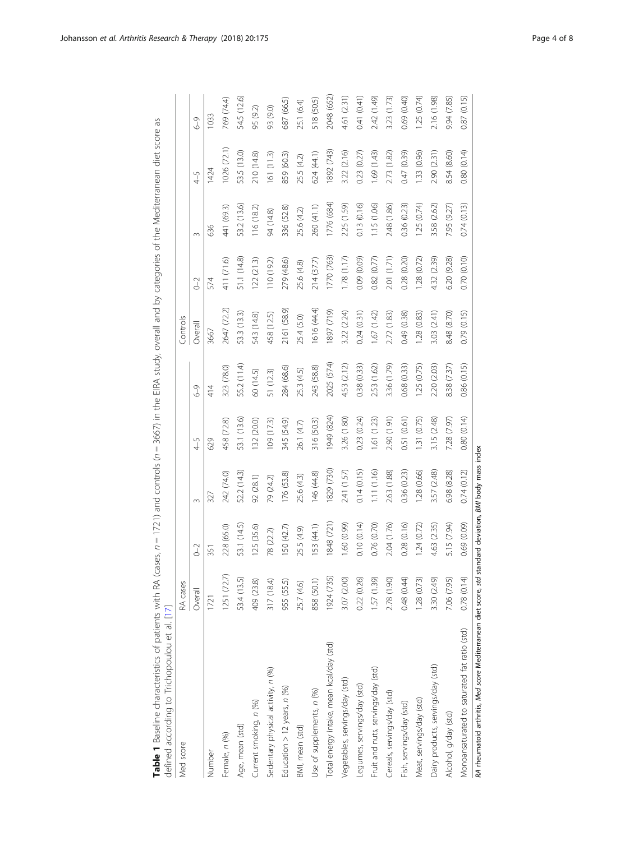<span id="page-3-0"></span>

| defined according to Trichopoulou et al. [17]                                                            |             |             |             |             |             |             |             |             |             |             |
|----------------------------------------------------------------------------------------------------------|-------------|-------------|-------------|-------------|-------------|-------------|-------------|-------------|-------------|-------------|
| Med score                                                                                                | RA cases    |             |             |             |             | Controls    |             |             |             |             |
|                                                                                                          | Overall     | $\sqrt{2}$  | $\infty$    | $4 - 5$     | $6 - 9$     | Overall     | $\sqrt{2}$  | $\infty$    | $4 - 5$     | $6 - 9$     |
| Number                                                                                                   | 1721        | 351         | 327         | 629         | 414         | 3667        | 574         | 636         | 1424        | 1033        |
| Female, n (%)                                                                                            | 1251(72.7)  | 228 (65.0)  | 242 (74.0)  | 458 (72.8)  | 323 (78.0)  | 2647 (72.2) | 411 (71.6)  | 441 (69.3)  | 1026 (72.1) | 769 (74.4)  |
| Age, mean (std)                                                                                          | 53.4 (13.5) | 53.1 (14.5) | 52.2 (14.3) | 53.1 (13.6) | 55.2 (11.4) | 53.3 (13.3) | 51.1 (14.8) | 53.2 (13.6) | 53.5 (13.0) | 54.5 (12.6) |
| Current smoking, n (%)                                                                                   | 409 (23.8)  | 125(35.6)   | 92 (28.1)   | 132 (20.0)  | 60 (14.5)   | 543 (14.8)  | 122(213)    | 116 (18.2)  | 210 (14.8)  | 95 (9.2)    |
| Sedentary physical activity, n (%)                                                                       | 317 (18.4)  | 78 (22.2)   | 79 (24.2)   | 109 (17.3)  | 51 (12.3)   | 458 (12.5)  | 110 (19.2)  | 94 (14.8)   | 161 (11.3)  | 93 (9.0)    |
| Education $> 12$ years, n (%)                                                                            | 955 (55.5)  | 150 (42.7)  | 176 (53.8)  | 345 (54.9)  | 284 (68.6)  | 2161 (58.9) | 279 (48.6)  | 336 (52.8)  | 859 (60.3)  | 687 (66.5)  |
| BMI, mean (std)                                                                                          | 25.7 (4.6)  | 25.5 (4.9)  | 25.6 (4.3)  | 26.1 (4.7)  | 25.3 (4.5)  | 25.4 (5.0)  | 25.6 (4.8)  | 25.6 (4.2)  | 25.5 (4.2)  | 25.1 (6.4)  |
| Use of supplements, n (%)                                                                                | 858 (50.1)  | (44.1)      | 146 (44.8)  | 316 (50.3)  | 243 (58.8)  | 1616 (44.4) | 214 (37.7)  | 260 (41.1)  | 624 (44.1)  | 518 (50.5)  |
| Total energy intake, mean kcal/day (std)                                                                 | 1924 (735)  | 1848 (721)  | 1829 (730)  | 1949 (824)  | 2025 (574)  | (612) 2681  | 1770 (763)  | 1776 (684)  | 1892 (743)  | 2048 (652)  |
| Vegetables, servings/day (std)                                                                           | 3.07 (2.00) | 1.60 (0.99) | 2.41 (1.57) | 3.26 (1.80) | 4.53 (2.12) | 3.22 (2.24) | 1.78(1.17)  | 2.25 (1.59) | 3.22 (2.16) | 4.61 (2.31) |
| -egumes, servings/day (std)                                                                              | 0.22(0.26)  | 0.10(0.14)  | 0.14(0.15)  | 0.23 (0.24) | 0.38 (0.33) | 0.24(0.31)  | 0.09 (0.09) | 0.13(0.16)  | 0.23 (0.27) | 0.41 (0.41) |
| Fruit and nuts, servings/day (std)                                                                       | 1.57 (1.39) | 0.76 (0.70) | 1.11 (1.16) | .61 (1.23)  | 2.53 (1.62) | (55(1.67)   | 0.82 (0.77) | 1.15 (1.06) | 1.69 (1.43) | 2.42 (1.49) |
| Cereals, servings/day (std)                                                                              | 2.78 (1.90) | 2.04 (1.76) | 2.63 (1.88) | 2.90 (1.91) | 3.36 (1.79) | 2.72 (1.83) | 2.01 (1.71) | 2.48 (1.86) | 2.73 (1.82) | 3.23 (1.73) |
| Fish, servings/day (std)                                                                                 | 0.48 (0.44) | 0.28 (0.16) | 0.36 (0.23) | 0.51 (0.61) | 0.68 (0.33) | 0.49 (0.38) | 0.28 (0.20) | 0.36 (0.23) | 0.47 (0.39) | 0.69 (0.40) |
| Meat, servings/day (std)                                                                                 | 1.28(0.73)  | 1.24(0.72)  | 1.28 (0.66) | 1.31 (0.75) | 1.25 (0.75) | 1.28(0.83)  | 1.28(0.72)  | 1.25(0.74)  | 1.33 (0.96) | 1.25(0.74)  |
| Dairy products, servings/day (std)                                                                       | 3.30 (2.49) | 4.63 (2.35) | 3.57 (2.48) | 3.15 (2.48) | 2.20 (2.03) | 3.03 (2.41) | 4.32 (2.39) | 3.58 (2.62) | 2.90 (2.31) | 2.16 (1.98) |
| Alcohol, g/day (std)                                                                                     | 7.06 (7.95) | 5.15 (7.94) | 6.98 (8.28) | 7.28 (7.97) | 8.38 (7.37) | 8.48 (8.70) | 6.20 (9.28) | 7.95 (9.27) | 8.54 (8.60) | 9.94 (7.85) |
| Monoansaturated to saturated fat ratio (std)                                                             | 0.78(0.14)  | 0.69 (0.09) | 0.74(0.12)  | 0.80(0.14)  | 0.86 (0.15) | 0.79 (0.15) | 0.70 (0.10) | 0.74(0.13)  | 0.80 (0.14) | 0.87(0.15)  |
| RA rheumatoid arthritis, Med score Mediterranean diet score, std standard deviation, BMI body mass index |             |             |             |             |             |             |             |             |             |             |

Table 1 Baseline characteristics of patients with RA (cases, n = 1721) and controls (n = 3667) in the EIRA study, overall and by categories of the Mediterranean diet score as

Table 1 Baseline characteristics of patients with RA (cases,  $n = 1721$ ) and controls ( $n = 3667$ ) in the EIRA study, overall and by categories of the Mediterranean diet score as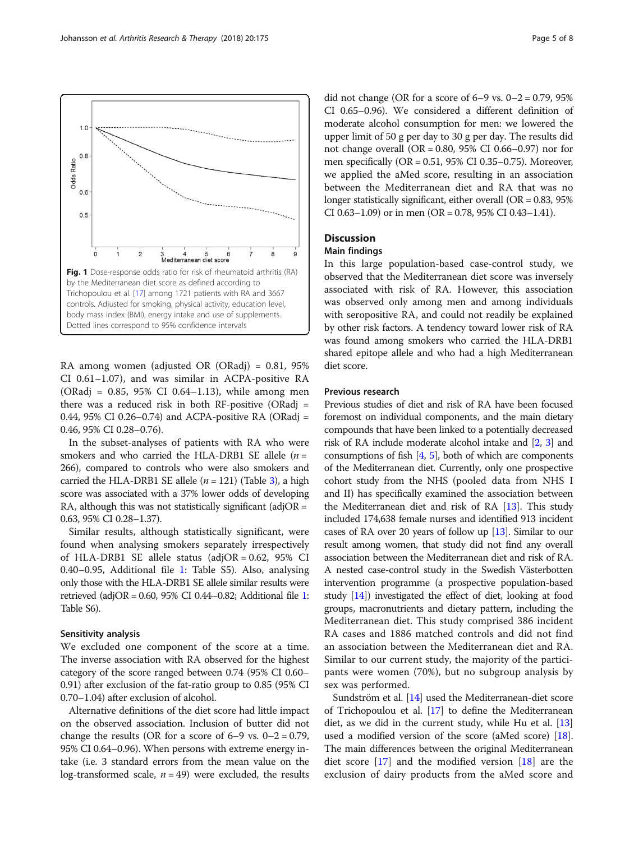<span id="page-4-0"></span>

RA among women (adjusted OR (ORadj) = 0.81, 95% CI 0.61–1.07), and was similar in ACPA-positive RA (ORadj =  $0.85$ ,  $95\%$  CI  $0.64-1.13$ ), while among men there was a reduced risk in both RF-positive (ORadj = 0.44, 95% CI 0.26–0.74) and ACPA-positive RA (ORadj = 0.46, 95% CI 0.28–0.76).

In the subset-analyses of patients with RA who were smokers and who carried the HLA-DRB1 SE allele  $(n =$ 266), compared to controls who were also smokers and carried the HLA-DRB1 SE allele  $(n = 121)$  (Table [3](#page-5-0)), a high score was associated with a 37% lower odds of developing RA, although this was not statistically significant (adjOR = 0.63, 95% CI 0.28–1.37).

Similar results, although statistically significant, were found when analysing smokers separately irrespectively of HLA-DRB1 SE allele status (adjOR = 0.62, 95% CI 0.40–0.95, Additional file [1](#page-6-0): Table S5). Also, analysing only those with the HLA-DRB1 SE allele similar results were retrieved (adjOR = 0.60, 95% CI 0.44–0.82; Additional file [1](#page-6-0): Table S6).

# Sensitivity analysis

We excluded one component of the score at a time. The inverse association with RA observed for the highest category of the score ranged between 0.74 (95% CI 0.60– 0.91) after exclusion of the fat-ratio group to 0.85 (95% CI 0.70–1.04) after exclusion of alcohol.

Alternative definitions of the diet score had little impact on the observed association. Inclusion of butter did not change the results (OR for a score of  $6-9$  vs.  $0-2 = 0.79$ , 95% CI 0.64–0.96). When persons with extreme energy intake (i.e. 3 standard errors from the mean value on the log-transformed scale,  $n = 49$ ) were excluded, the results did not change (OR for a score of  $6-9$  vs.  $0-2 = 0.79$ ,  $95\%$ CI 0.65–0.96). We considered a different definition of moderate alcohol consumption for men: we lowered the upper limit of 50 g per day to 30 g per day. The results did not change overall (OR = 0.80, 95% CI 0.66–0.97) nor for men specifically (OR = 0.51, 95% CI 0.35–0.75). Moreover, we applied the aMed score, resulting in an association between the Mediterranean diet and RA that was no longer statistically significant, either overall (OR = 0.83, 95% CI 0.63–1.09) or in men (OR = 0.78, 95% CI 0.43–1.41).

# **Discussion**

# Main findings

In this large population-based case-control study, we observed that the Mediterranean diet score was inversely associated with risk of RA. However, this association was observed only among men and among individuals with seropositive RA, and could not readily be explained by other risk factors. A tendency toward lower risk of RA was found among smokers who carried the HLA-DRB1 shared epitope allele and who had a high Mediterranean diet score.

# Previous research

Previous studies of diet and risk of RA have been focused foremost on individual components, and the main dietary compounds that have been linked to a potentially decreased risk of RA include moderate alcohol intake and [[2](#page-7-0), [3](#page-7-0)] and consumptions of fish [[4](#page-7-0), [5](#page-7-0)], both of which are components of the Mediterranean diet. Currently, only one prospective cohort study from the NHS (pooled data from NHS I and II) has specifically examined the association between the Mediterranean diet and risk of RA [[13](#page-7-0)]. This study included 174,638 female nurses and identified 913 incident cases of RA over 20 years of follow up [\[13\]](#page-7-0). Similar to our result among women, that study did not find any overall association between the Mediterranean diet and risk of RA. A nested case-control study in the Swedish Västerbotten intervention programme (a prospective population-based study [[14](#page-7-0)]) investigated the effect of diet, looking at food groups, macronutrients and dietary pattern, including the Mediterranean diet. This study comprised 386 incident RA cases and 1886 matched controls and did not find an association between the Mediterranean diet and RA. Similar to our current study, the majority of the participants were women (70%), but no subgroup analysis by sex was performed.

Sundström et al. [[14](#page-7-0)] used the Mediterranean-diet score of Trichopoulou et al. [\[17\]](#page-7-0) to define the Mediterranean diet, as we did in the current study, while Hu et al. [[13](#page-7-0)] used a modified version of the score (aMed score) [[18](#page-7-0)]. The main differences between the original Mediterranean diet score  $\begin{bmatrix} 17 \end{bmatrix}$  and the modified version  $\begin{bmatrix} 18 \end{bmatrix}$  are the exclusion of dairy products from the aMed score and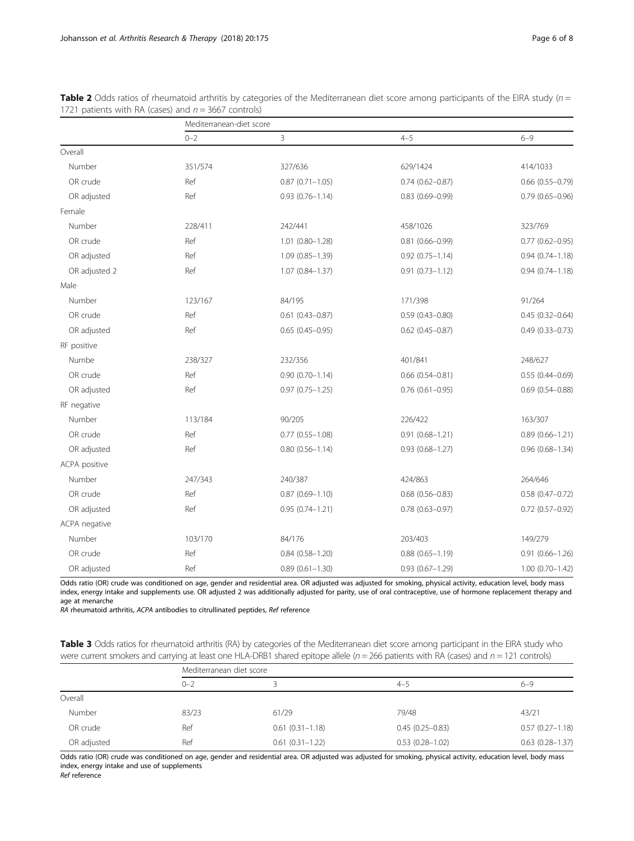|               | Mediterranean-diet score |                        |                        |                        |  |  |
|---------------|--------------------------|------------------------|------------------------|------------------------|--|--|
|               | $0 - 2$                  | $\overline{3}$         | $4 - 5$                | $6 - 9$                |  |  |
| Overall       |                          |                        |                        |                        |  |  |
| Number        | 351/574                  | 327/636                | 629/1424               | 414/1033               |  |  |
| OR crude      | Ref                      | $0.87(0.71 - 1.05)$    | $0.74(0.62 - 0.87)$    | $0.66$ $(0.55 - 0.79)$ |  |  |
| OR adjusted   | Ref                      | $0.93(0.76 - 1.14)$    | $0.83$ (0.69-0.99)     | $0.79(0.65 - 0.96)$    |  |  |
| Female        |                          |                        |                        |                        |  |  |
| Number        | 228/411                  | 242/441                | 458/1026               | 323/769                |  |  |
| OR crude      | Ref                      | $1.01(0.80 - 1.28)$    | $0.81(0.66 - 0.99)$    | $0.77$ (0.62-0.95)     |  |  |
| OR adjusted   | Ref                      | $1.09(0.85 - 1.39)$    | $0.92(0.75 - 1.14)$    | $0.94(0.74 - 1.18)$    |  |  |
| OR adjusted 2 | Ref                      | $1.07(0.84 - 1.37)$    | $0.91(0.73 - 1.12)$    | $0.94(0.74 - 1.18)$    |  |  |
| Male          |                          |                        |                        |                        |  |  |
| Number        | 123/167                  | 84/195                 | 171/398                | 91/264                 |  |  |
| OR crude      | Ref                      | $0.61(0.43 - 0.87)$    | $0.59(0.43 - 0.80)$    | $0.45(0.32 - 0.64)$    |  |  |
| OR adjusted   | Ref                      | $0.65(0.45 - 0.95)$    | $0.62$ (0.45-0.87)     | $0.49(0.33 - 0.73)$    |  |  |
| RF positive   |                          |                        |                        |                        |  |  |
| Numbe         | 238/327                  | 232/356                | 401/841                | 248/627                |  |  |
| OR crude      | Ref                      | $0.90(0.70 - 1.14)$    | $0.66$ $(0.54 - 0.81)$ | $0.55(0.44 - 0.69)$    |  |  |
| OR adjusted   | Ref                      | $0.97(0.75 - 1.25)$    | $0.76(0.61 - 0.95)$    | $0.69(0.54 - 0.88)$    |  |  |
| RF negative   |                          |                        |                        |                        |  |  |
| Number        | 113/184                  | 90/205                 | 226/422                | 163/307                |  |  |
| OR crude      | Ref                      | $0.77$ $(0.55 - 1.08)$ | $0.91(0.68 - 1.21)$    | $0.89(0.66 - 1.21)$    |  |  |
| OR adjusted   | Ref                      | $0.80(0.56 - 1.14)$    | $0.93(0.68 - 1.27)$    | $0.96(0.68 - 1.34)$    |  |  |
| ACPA positive |                          |                        |                        |                        |  |  |
| Number        | 247/343                  | 240/387                | 424/863                | 264/646                |  |  |
| OR crude      | Ref                      | $0.87(0.69 - 1.10)$    | $0.68$ $(0.56 - 0.83)$ | $0.58(0.47 - 0.72)$    |  |  |
| OR adjusted   | Ref                      | $0.95(0.74 - 1.21)$    | $0.78(0.63 - 0.97)$    | $0.72$ (0.57-0.92)     |  |  |
| ACPA negative |                          |                        |                        |                        |  |  |
| Number        | 103/170                  | 84/176                 | 203/403                | 149/279                |  |  |
| OR crude      | Ref                      | $0.84(0.58 - 1.20)$    | $0.88(0.65 - 1.19)$    | $0.91(0.66 - 1.26)$    |  |  |
| OR adjusted   | Ref                      | $0.89(0.61 - 1.30)$    | $0.93(0.67 - 1.29)$    | $1.00(0.70 - 1.42)$    |  |  |

<span id="page-5-0"></span>Table 2 Odds ratios of rheumatoid arthritis by categories of the Mediterranean diet score among participants of the EIRA study ( $n =$ 1721 patients with RA (cases) and  $n = 3667$  controls)

Odds ratio (OR) crude was conditioned on age, gender and residential area. OR adjusted was adjusted for smoking, physical activity, education level, body mass index, energy intake and supplements use. OR adjusted 2 was additionally adjusted for parity, use of oral contraceptive, use of hormone replacement therapy and age at menarche

RA rheumatoid arthritis, ACPA antibodies to citrullinated peptides, Ref reference

| Table 3 Odds ratios for rheumatoid arthritis (RA) by categories of the Mediterranean diet score among participant in the EIRA study who    |  |
|--------------------------------------------------------------------------------------------------------------------------------------------|--|
| were current smokers and carrying at least one HLA-DRB1 shared epitope allele ( $n = 266$ patients with RA (cases) and $n = 121$ controls) |  |

|             | Mediterranean diet score |                     |                     |                        |  |
|-------------|--------------------------|---------------------|---------------------|------------------------|--|
|             | $() - ?$                 |                     | $4 - 5$             | $6 - 9$                |  |
| Overall     |                          |                     |                     |                        |  |
| Number      | 83/23                    | 61/29               | 79/48               | 43/21                  |  |
| OR crude    | Ref                      | $0.61(0.31 - 1.18)$ | $0.45(0.25 - 0.83)$ | $0.57(0.27 - 1.18)$    |  |
| OR adjusted | Ref                      | $0.61(0.31 - 1.22)$ | $0.53(0.28 - 1.02)$ | $0.63$ $(0.28 - 1.37)$ |  |

Odds ratio (OR) crude was conditioned on age, gender and residential area. OR adjusted was adjusted for smoking, physical activity, education level, body mass index, energy intake and use of supplements Ref reference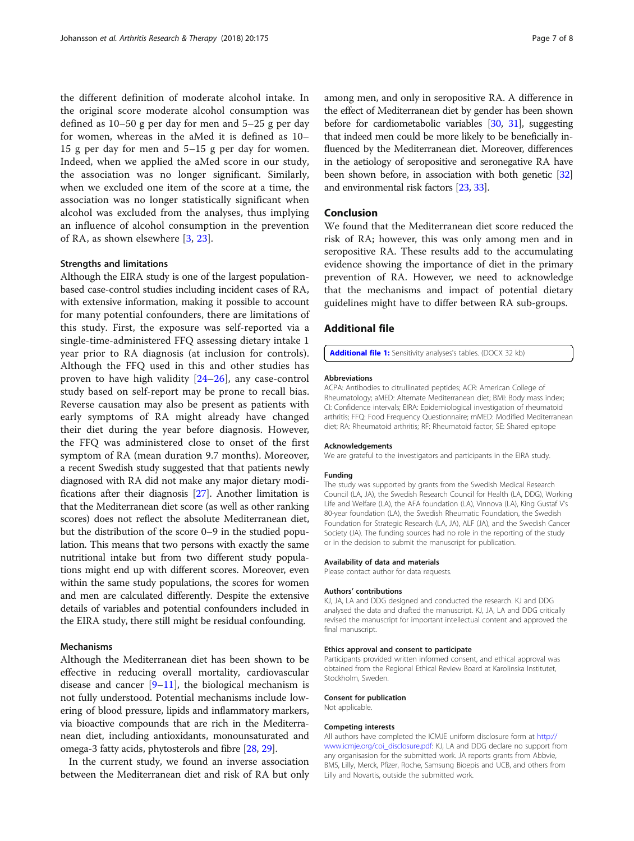<span id="page-6-0"></span>the different definition of moderate alcohol intake. In the original score moderate alcohol consumption was defined as 10–50 g per day for men and 5–25 g per day for women, whereas in the aMed it is defined as 10– 15 g per day for men and 5–15 g per day for women. Indeed, when we applied the aMed score in our study, the association was no longer significant. Similarly, when we excluded one item of the score at a time, the association was no longer statistically significant when alcohol was excluded from the analyses, thus implying an influence of alcohol consumption in the prevention of RA, as shown elsewhere [[3,](#page-7-0) [23\]](#page-7-0).

### Strengths and limitations

Although the EIRA study is one of the largest populationbased case-control studies including incident cases of RA, with extensive information, making it possible to account for many potential confounders, there are limitations of this study. First, the exposure was self-reported via a single-time-administered FFQ assessing dietary intake 1 year prior to RA diagnosis (at inclusion for controls). Although the FFQ used in this and other studies has proven to have high validity [\[24](#page-7-0)–[26](#page-7-0)], any case-control study based on self-report may be prone to recall bias. Reverse causation may also be present as patients with early symptoms of RA might already have changed their diet during the year before diagnosis. However, the FFQ was administered close to onset of the first symptom of RA (mean duration 9.7 months). Moreover, a recent Swedish study suggested that that patients newly diagnosed with RA did not make any major dietary modifications after their diagnosis [\[27\]](#page-7-0). Another limitation is that the Mediterranean diet score (as well as other ranking scores) does not reflect the absolute Mediterranean diet, but the distribution of the score 0–9 in the studied population. This means that two persons with exactly the same nutritional intake but from two different study populations might end up with different scores. Moreover, even within the same study populations, the scores for women and men are calculated differently. Despite the extensive details of variables and potential confounders included in the EIRA study, there still might be residual confounding.

#### Mechanisms

Although the Mediterranean diet has been shown to be effective in reducing overall mortality, cardiovascular disease and cancer  $[9-11]$  $[9-11]$  $[9-11]$  $[9-11]$  $[9-11]$ , the biological mechanism is not fully understood. Potential mechanisms include lowering of blood pressure, lipids and inflammatory markers, via bioactive compounds that are rich in the Mediterranean diet, including antioxidants, monounsaturated and omega-3 fatty acids, phytosterols and fibre [[28](#page-7-0), [29\]](#page-7-0).

In the current study, we found an inverse association between the Mediterranean diet and risk of RA but only

among men, and only in seropositive RA. A difference in the effect of Mediterranean diet by gender has been shown before for cardiometabolic variables [\[30,](#page-7-0) [31](#page-7-0)], suggesting that indeed men could be more likely to be beneficially influenced by the Mediterranean diet. Moreover, differences in the aetiology of seropositive and seronegative RA have been shown before, in association with both genetic [\[32](#page-7-0)] and environmental risk factors [\[23,](#page-7-0) [33\]](#page-7-0).

# Conclusion

We found that the Mediterranean diet score reduced the risk of RA; however, this was only among men and in seropositive RA. These results add to the accumulating evidence showing the importance of diet in the primary prevention of RA. However, we need to acknowledge that the mechanisms and impact of potential dietary guidelines might have to differ between RA sub-groups.

# Additional file

[Additional file 1:](https://doi.org/10.1186/s13075-018-1680-2) Sensitivity analyses's tables. (DOCX 32 kb)

#### Abbreviations

ACPA: Antibodies to citrullinated peptides; ACR: American College of Rheumatology; aMED: Alternate Mediterranean diet; BMI: Body mass index; CI: Confidence intervals; EIRA: Epidemiological investigation of rheumatoid arthritis; FFQ: Food Frequency Questionnaire; mMED: Modified Mediterranean diet; RA: Rheumatoid arthritis; RF: Rheumatoid factor; SE: Shared epitope

#### Acknowledgements

We are grateful to the investigators and participants in the EIRA study.

#### Funding

The study was supported by grants from the Swedish Medical Research Council (LA, JA), the Swedish Research Council for Health (LA, DDG), Working Life and Welfare (LA), the AFA foundation (LA), Vinnova (LA), King Gustaf V's 80-year foundation (LA), the Swedish Rheumatic Foundation, the Swedish Foundation for Strategic Research (LA, JA), ALF (JA), and the Swedish Cancer Society (JA). The funding sources had no role in the reporting of the study or in the decision to submit the manuscript for publication.

# Availability of data and materials

Please contact author for data requests.

# Authors' contributions

KJ, JA, LA and DDG designed and conducted the research. KJ and DDG analysed the data and drafted the manuscript. KJ, JA, LA and DDG critically revised the manuscript for important intellectual content and approved the final manuscript.

### Ethics approval and consent to participate

Participants provided written informed consent, and ethical approval was obtained from the Regional Ethical Review Board at Karolinska Institutet, Stockholm, Sweden.

#### Consent for publication

Not applicable.

#### Competing interests

All authors have completed the ICMJE uniform disclosure form at [http://](http://www.icmje.org/coi_disclosure.pdf) [www.icmje.org/coi\\_disclosure.pdf:](http://www.icmje.org/coi_disclosure.pdf) KJ, LA and DDG declare no support from any organisasion for the submitted work. JA reports grants from Abbvie, BMS, Lilly, Merck, Pfizer, Roche, Samsung Bioepis and UCB, and others from Lilly and Novartis, outside the submitted work.